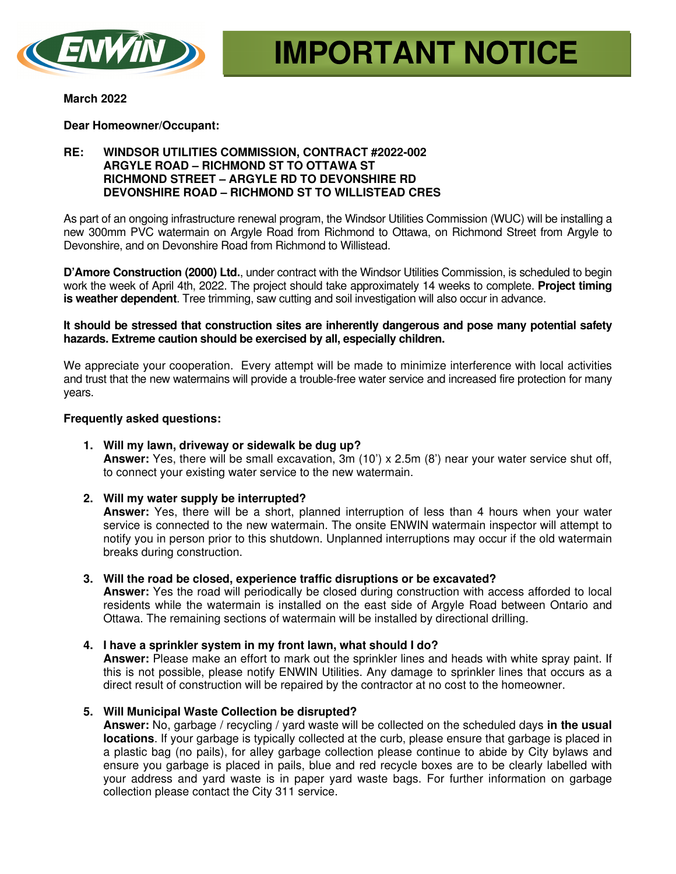

**March 2022** 

**Dear Homeowner/Occupant:** 

# **RE: WINDSOR UTILITIES COMMISSION, CONTRACT #2022-002 ARGYLE ROAD – RICHMOND ST TO OTTAWA ST RICHMOND STREET – ARGYLE RD TO DEVONSHIRE RD DEVONSHIRE ROAD – RICHMOND ST TO WILLISTEAD CRES**

As part of an ongoing infrastructure renewal program, the Windsor Utilities Commission (WUC) will be installing a new 300mm PVC watermain on Argyle Road from Richmond to Ottawa, on Richmond Street from Argyle to Devonshire, and on Devonshire Road from Richmond to Willistead.

**D'Amore Construction (2000) Ltd.**, under contract with the Windsor Utilities Commission, is scheduled to begin work the week of April 4th, 2022. The project should take approximately 14 weeks to complete. **Project timing is weather dependent**. Tree trimming, saw cutting and soil investigation will also occur in advance.

#### **It should be stressed that construction sites are inherently dangerous and pose many potential safety hazards. Extreme caution should be exercised by all, especially children.**

We appreciate your cooperation. Every attempt will be made to minimize interference with local activities and trust that the new watermains will provide a trouble-free water service and increased fire protection for many years.

## **Frequently asked questions:**

**1. Will my lawn, driveway or sidewalk be dug up? Answer:** Yes, there will be small excavation, 3m (10') x 2.5m (8') near your water service shut off, to connect your existing water service to the new watermain.

## **2. Will my water supply be interrupted?**

**Answer:** Yes, there will be a short, planned interruption of less than 4 hours when your water service is connected to the new watermain. The onsite ENWIN watermain inspector will attempt to notify you in person prior to this shutdown. Unplanned interruptions may occur if the old watermain breaks during construction.

**3. Will the road be closed, experience traffic disruptions or be excavated?**

**Answer:** Yes the road will periodically be closed during construction with access afforded to local residents while the watermain is installed on the east side of Argyle Road between Ontario and Ottawa. The remaining sections of watermain will be installed by directional drilling.

## **4. I have a sprinkler system in my front lawn, what should I do?**

**Answer:** Please make an effort to mark out the sprinkler lines and heads with white spray paint. If this is not possible, please notify ENWIN Utilities. Any damage to sprinkler lines that occurs as a direct result of construction will be repaired by the contractor at no cost to the homeowner.

**5. Will Municipal Waste Collection be disrupted?** 

**Answer:** No, garbage / recycling / yard waste will be collected on the scheduled days **in the usual locations**. If your garbage is typically collected at the curb, please ensure that garbage is placed in a plastic bag (no pails), for alley garbage collection please continue to abide by City bylaws and ensure you garbage is placed in pails, blue and red recycle boxes are to be clearly labelled with your address and yard waste is in paper yard waste bags. For further information on garbage collection please contact the City 311 service.